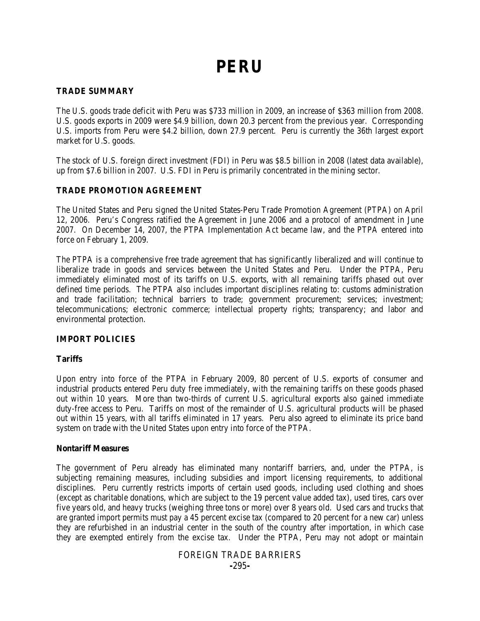# **PERU**

#### **TRADE SUMMARY**

The U.S. goods trade deficit with Peru was \$733 million in 2009, an increase of \$363 million from 2008. U.S. goods exports in 2009 were \$4.9 billion, down 20.3 percent from the previous year. Corresponding U.S. imports from Peru were \$4.2 billion, down 27.9 percent. Peru is currently the 36th largest export market for U.S. goods.

The stock of U.S. foreign direct investment (FDI) in Peru was \$8.5 billion in 2008 (latest data available), up from \$7.6 billion in 2007. U.S. FDI in Peru is primarily concentrated in the mining sector.

#### **TRADE PROMOTION AGREEMENT**

The United States and Peru signed the United States-Peru Trade Promotion Agreement (PTPA) on April 12, 2006. Peru's Congress ratified the Agreement in June 2006 and a protocol of amendment in June 2007. On December 14, 2007, the PTPA Implementation Act became law, and the PTPA entered into force on February 1, 2009.

The PTPA is a comprehensive free trade agreement that has significantly liberalized and will continue to liberalize trade in goods and services between the United States and Peru. Under the PTPA, Peru immediately eliminated most of its tariffs on U.S. exports, with all remaining tariffs phased out over defined time periods. The PTPA also includes important disciplines relating to: customs administration and trade facilitation; technical barriers to trade; government procurement; services; investment; telecommunications; electronic commerce; intellectual property rights; transparency; and labor and environmental protection.

#### **IMPORT POLICIES**

#### **Tariffs**

Upon entry into force of the PTPA in February 2009, 80 percent of U.S. exports of consumer and industrial products entered Peru duty free immediately, with the remaining tariffs on these goods phased out within 10 years. More than two-thirds of current U.S. agricultural exports also gained immediate duty-free access to Peru. Tariffs on most of the remainder of U.S. agricultural products will be phased out within 15 years, with all tariffs eliminated in 17 years. Peru also agreed to eliminate its price band system on trade with the United States upon entry into force of the PTPA.

#### **Nontariff Measures**

The government of Peru already has eliminated many nontariff barriers, and, under the PTPA, is subjecting remaining measures, including subsidies and import licensing requirements, to additional disciplines. Peru currently restricts imports of certain used goods, including used clothing and shoes (except as charitable donations, which are subject to the 19 percent value added tax), used tires, cars over five years old, and heavy trucks (weighing three tons or more) over 8 years old. Used cars and trucks that are granted import permits must pay a 45 percent excise tax (compared to 20 percent for a new car) unless they are refurbished in an industrial center in the south of the country after importation, in which case they are exempted entirely from the excise tax. Under the PTPA, Peru may not adopt or maintain

#### FOREIGN TRADE BARRIERS **-**295**-**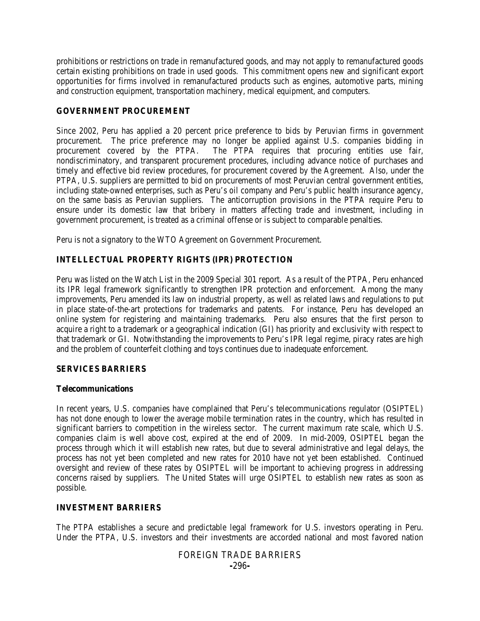prohibitions or restrictions on trade in remanufactured goods, and may not apply to remanufactured goods certain existing prohibitions on trade in used goods. This commitment opens new and significant export opportunities for firms involved in remanufactured products such as engines, automotive parts, mining and construction equipment, transportation machinery, medical equipment, and computers.

#### **GOVERNMENT PROCUREMENT**

Since 2002, Peru has applied a 20 percent price preference to bids by Peruvian firms in government procurement. The price preference may no longer be applied against U.S. companies bidding in procurement covered by the PTPA. The PTPA requires that procuring entities use fair, nondiscriminatory, and transparent procurement procedures, including advance notice of purchases and timely and effective bid review procedures, for procurement covered by the Agreement. Also, under the PTPA, U.S. suppliers are permitted to bid on procurements of most Peruvian central government entities, including state-owned enterprises, such as Peru's oil company and Peru's public health insurance agency, on the same basis as Peruvian suppliers. The anticorruption provisions in the PTPA require Peru to ensure under its domestic law that bribery in matters affecting trade and investment, including in government procurement, is treated as a criminal offense or is subject to comparable penalties.

Peru is not a signatory to the WTO Agreement on Government Procurement.

## **INTELLECTUAL PROPERTY RIGHTS (IPR) PROTECTION**

Peru was listed on the Watch List in the 2009 Special 301 report. As a result of the PTPA, Peru enhanced its IPR legal framework significantly to strengthen IPR protection and enforcement. Among the many improvements, Peru amended its law on industrial property, as well as related laws and regulations to put in place state-of-the-art protections for trademarks and patents. For instance, Peru has developed an online system for registering and maintaining trademarks. Peru also ensures that the first person to acquire a right to a trademark or a geographical indication (GI) has priority and exclusivity with respect to that trademark or GI. Notwithstanding the improvements to Peru's IPR legal regime, piracy rates are high and the problem of counterfeit clothing and toys continues due to inadequate enforcement.

#### **SERVICES BARRIERS**

#### **Telecommunications**

In recent years, U.S. companies have complained that Peru's telecommunications regulator (OSIPTEL) has not done enough to lower the average mobile termination rates in the country, which has resulted in significant barriers to competition in the wireless sector. The current maximum rate scale, which U.S. companies claim is well above cost, expired at the end of 2009. In mid-2009, OSIPTEL began the process through which it will establish new rates, but due to several administrative and legal delays, the process has not yet been completed and new rates for 2010 have not yet been established. Continued oversight and review of these rates by OSIPTEL will be important to achieving progress in addressing concerns raised by suppliers. The United States will urge OSIPTEL to establish new rates as soon as possible.

#### **INVESTMENT BARRIERS**

The PTPA establishes a secure and predictable legal framework for U.S. investors operating in Peru. Under the PTPA, U.S. investors and their investments are accorded national and most favored nation

### FOREIGN TRADE BARRIERS **-**296**-**